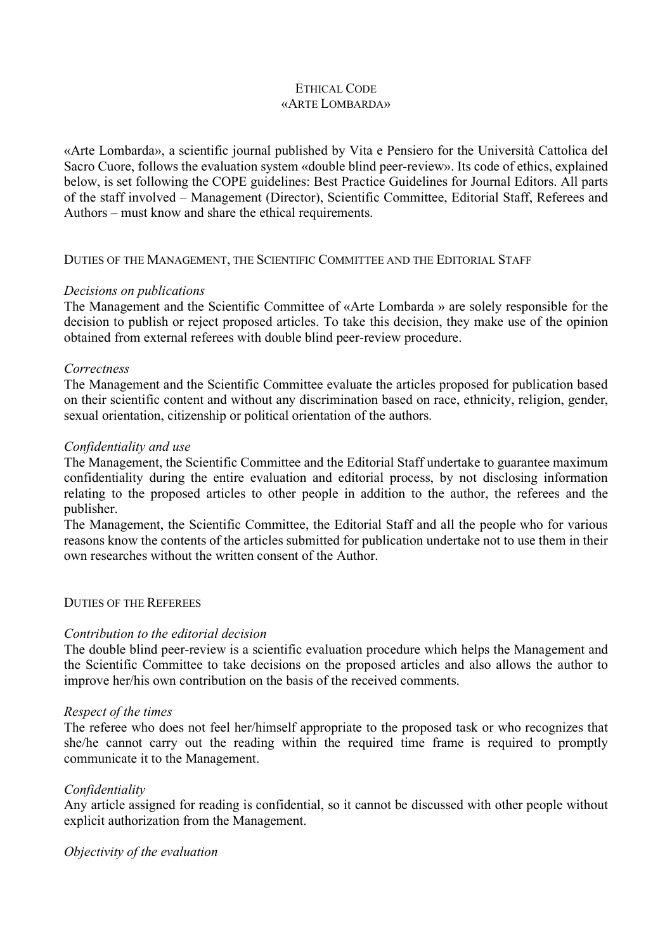# ETHICAL CODE «ARTE LOMBARDA»

«Arte Lombarda», a scientific journal published by Vita e Pensiero for the Università Cattolica del Sacro Cuore, follows the evaluation system «double blind peer-review». Its code of ethics, explained below, is set following the COPE guidelines: Best Practice Guidelines for Journal Editors. All parts of the staff involved – Management (Director), Scientific Committee, Editorial Staff, Referees and Authors – must know and share the ethical requirements.

## DUTIES OF THE MANAGEMENT, THE SCIENTIFIC COMMITTEE AND THE EDITORIAL STAFF

### *Decisions on publications*

The Management and the Scientific Committee of «Arte Lombarda » are solely responsible for the decision to publish or reject proposed articles. To take this decision, they make use of the opinion obtained from external referees with double blind peer-review procedure.

### *Correctness*

The Management and the Scientific Committee evaluate the articles proposed for publication based on their scientific content and without any discrimination based on race, ethnicity, religion, gender, sexual orientation, citizenship or political orientation of the authors.

### *Confidentiality and use*

The Management, the Scientific Committee and the Editorial Staff undertake to guarantee maximum confidentiality during the entire evaluation and editorial process, by not disclosing information relating to the proposed articles to other people in addition to the author, the referees and the publisher.

The Management, the Scientific Committee, the Editorial Staff and all the people who for various reasons know the contents of the articles submitted for publication undertake not to use them in their own researches without the written consent of the Author.

#### DUTIES OF THE REFEREES

## *Contribution to the editorial decision*

The double blind peer-review is a scientific evaluation procedure which helps the Management and the Scientific Committee to take decisions on the proposed articles and also allows the author to improve her/his own contribution on the basis of the received comments.

#### *Respect of the times*

The referee who does not feel her/himself appropriate to the proposed task or who recognizes that she/he cannot carry out the reading within the required time frame is required to promptly communicate it to the Management.

#### *Confidentiality*

Any article assigned for reading is confidential, so it cannot be discussed with other people without explicit authorization from the Management.

#### *Objectivity of the evaluation*